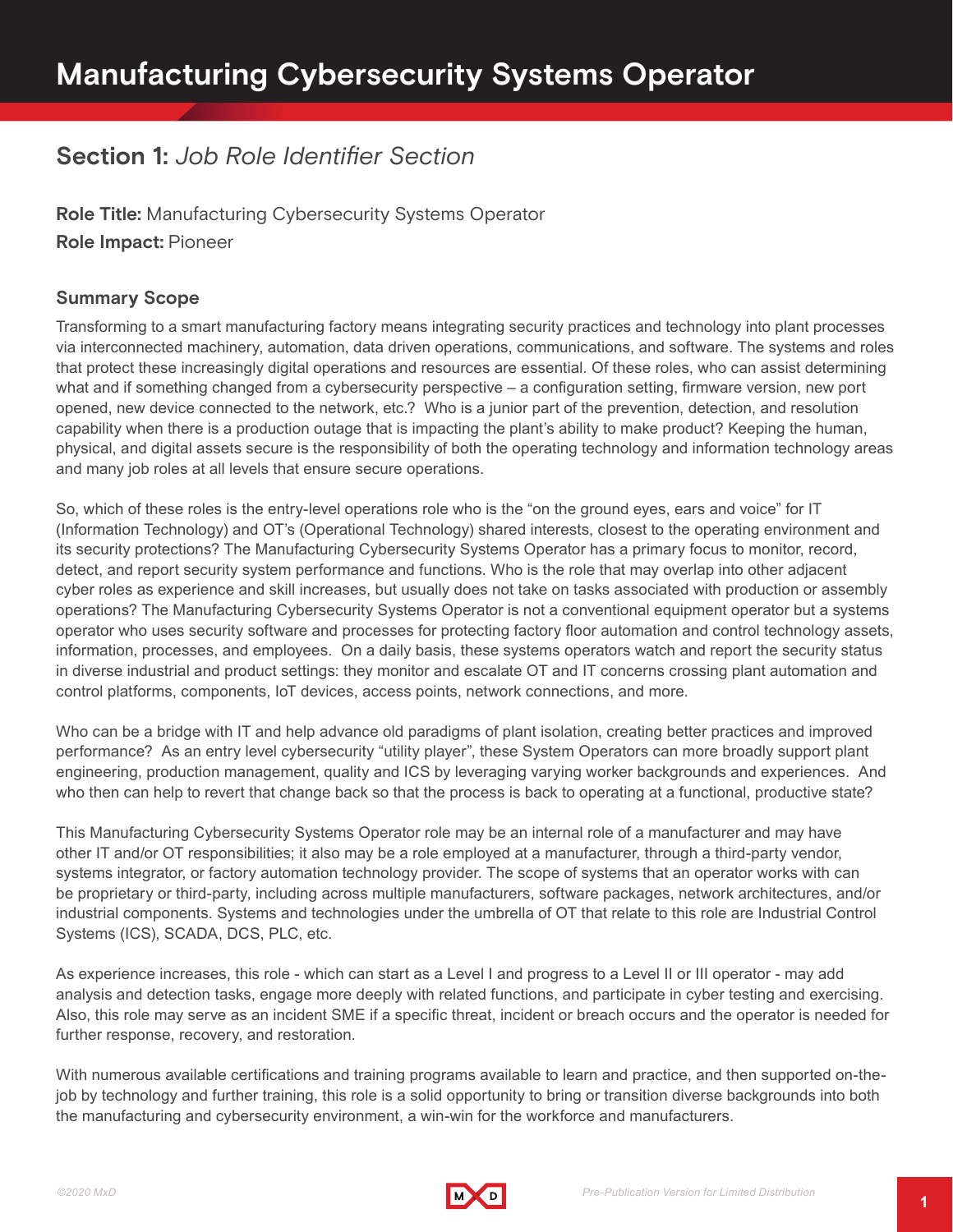# **Section 1:** *Job Role Identifier Section*

**Role Title:** Manufacturing Cybersecurity Systems Operator **Role Impact:** Pioneer

# **Summary Scope**

Transforming to a smart manufacturing factory means integrating security practices and technology into plant processes via interconnected machinery, automation, data driven operations, communications, and software. The systems and roles that protect these increasingly digital operations and resources are essential. Of these roles, who can assist determining what and if something changed from a cybersecurity perspective – a configuration setting, firmware version, new port opened, new device connected to the network, etc.? Who is a junior part of the prevention, detection, and resolution capability when there is a production outage that is impacting the plant's ability to make product? Keeping the human, physical, and digital assets secure is the responsibility of both the operating technology and information technology areas and many job roles at all levels that ensure secure operations.

So, which of these roles is the entry-level operations role who is the "on the ground eyes, ears and voice" for IT (Information Technology) and OT's (Operational Technology) shared interests, closest to the operating environment and its security protections? The Manufacturing Cybersecurity Systems Operator has a primary focus to monitor, record, detect, and report security system performance and functions. Who is the role that may overlap into other adjacent cyber roles as experience and skill increases, but usually does not take on tasks associated with production or assembly operations? The Manufacturing Cybersecurity Systems Operator is not a conventional equipment operator but a systems operator who uses security software and processes for protecting factory floor automation and control technology assets, information, processes, and employees. On a daily basis, these systems operators watch and report the security status in diverse industrial and product settings: they monitor and escalate OT and IT concerns crossing plant automation and control platforms, components, IoT devices, access points, network connections, and more.

Who can be a bridge with IT and help advance old paradigms of plant isolation, creating better practices and improved performance? As an entry level cybersecurity "utility player", these System Operators can more broadly support plant engineering, production management, quality and ICS by leveraging varying worker backgrounds and experiences. And who then can help to revert that change back so that the process is back to operating at a functional, productive state?

This Manufacturing Cybersecurity Systems Operator role may be an internal role of a manufacturer and may have other IT and/or OT responsibilities; it also may be a role employed at a manufacturer, through a third-party vendor, systems integrator, or factory automation technology provider. The scope of systems that an operator works with can be proprietary or third-party, including across multiple manufacturers, software packages, network architectures, and/or industrial components. Systems and technologies under the umbrella of OT that relate to this role are Industrial Control Systems (ICS), SCADA, DCS, PLC, etc.

As experience increases, this role - which can start as a Level I and progress to a Level II or III operator - may add analysis and detection tasks, engage more deeply with related functions, and participate in cyber testing and exercising. Also, this role may serve as an incident SME if a specific threat, incident or breach occurs and the operator is needed for further response, recovery, and restoration.

With numerous available certifications and training programs available to learn and practice, and then supported on-thejob by technology and further training, this role is a solid opportunity to bring or transition diverse backgrounds into both the manufacturing and cybersecurity environment, a win-win for the workforce and manufacturers.

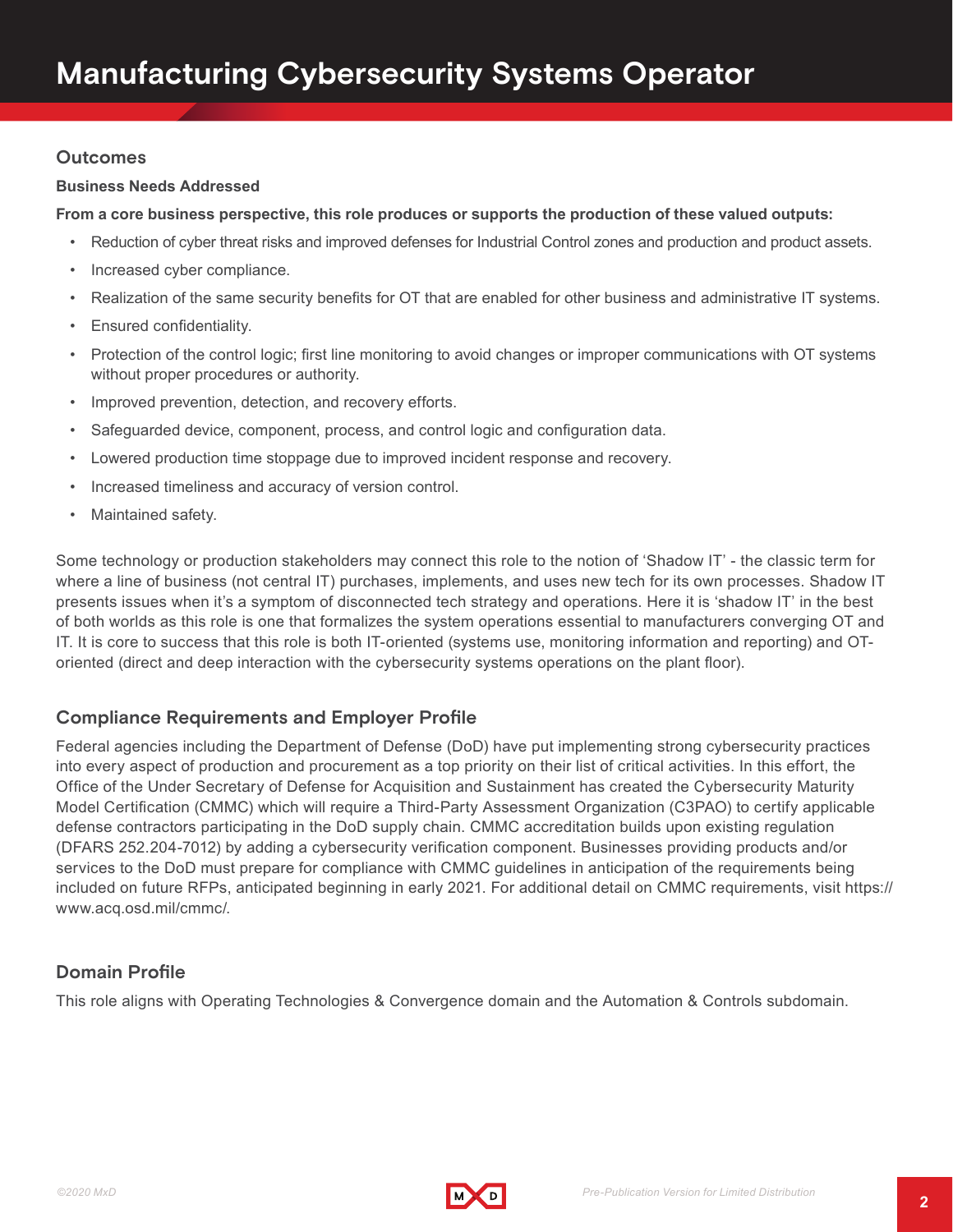### **Outcomes**

#### **Business Needs Addressed**

**From a core business perspective, this role produces or supports the production of these valued outputs:**

- Reduction of cyber threat risks and improved defenses for Industrial Control zones and production and product assets.
- Increased cyber compliance.
- Realization of the same security benefits for OT that are enabled for other business and administrative IT systems.
- Ensured confidentiality.
- Protection of the control logic; first line monitoring to avoid changes or improper communications with OT systems without proper procedures or authority.
- Improved prevention, detection, and recovery efforts.
- Safeguarded device, component, process, and control logic and configuration data.
- Lowered production time stoppage due to improved incident response and recovery.
- Increased timeliness and accuracy of version control.
- Maintained safety.

Some technology or production stakeholders may connect this role to the notion of 'Shadow IT' - the classic term for where a line of business (not central IT) purchases, implements, and uses new tech for its own processes. Shadow IT presents issues when it's a symptom of disconnected tech strategy and operations. Here it is 'shadow IT' in the best of both worlds as this role is one that formalizes the system operations essential to manufacturers converging OT and IT. It is core to success that this role is both IT-oriented (systems use, monitoring information and reporting) and OToriented (direct and deep interaction with the cybersecurity systems operations on the plant floor).

### **Compliance Requirements and Employer Profile**

Federal agencies including the Department of Defense (DoD) have put implementing strong cybersecurity practices into every aspect of production and procurement as a top priority on their list of critical activities. In this effort, the Office of the Under Secretary of Defense for Acquisition and Sustainment has created the Cybersecurity Maturity Model Certification (CMMC) which will require a Third-Party Assessment Organization (C3PAO) to certify applicable defense contractors participating in the DoD supply chain. CMMC accreditation builds upon existing regulation (DFARS 252.204-7012) by adding a cybersecurity verification component. Businesses providing products and/or services to the DoD must prepare for compliance with CMMC guidelines in anticipation of the requirements being included on future RFPs, anticipated beginning in early 2021. For additional detail on CMMC requirements, visit https:// www.acq.osd.mil/cmmc/.

# **Domain Profile**

This role aligns with Operating Technologies & Convergence domain and the Automation & Controls subdomain.

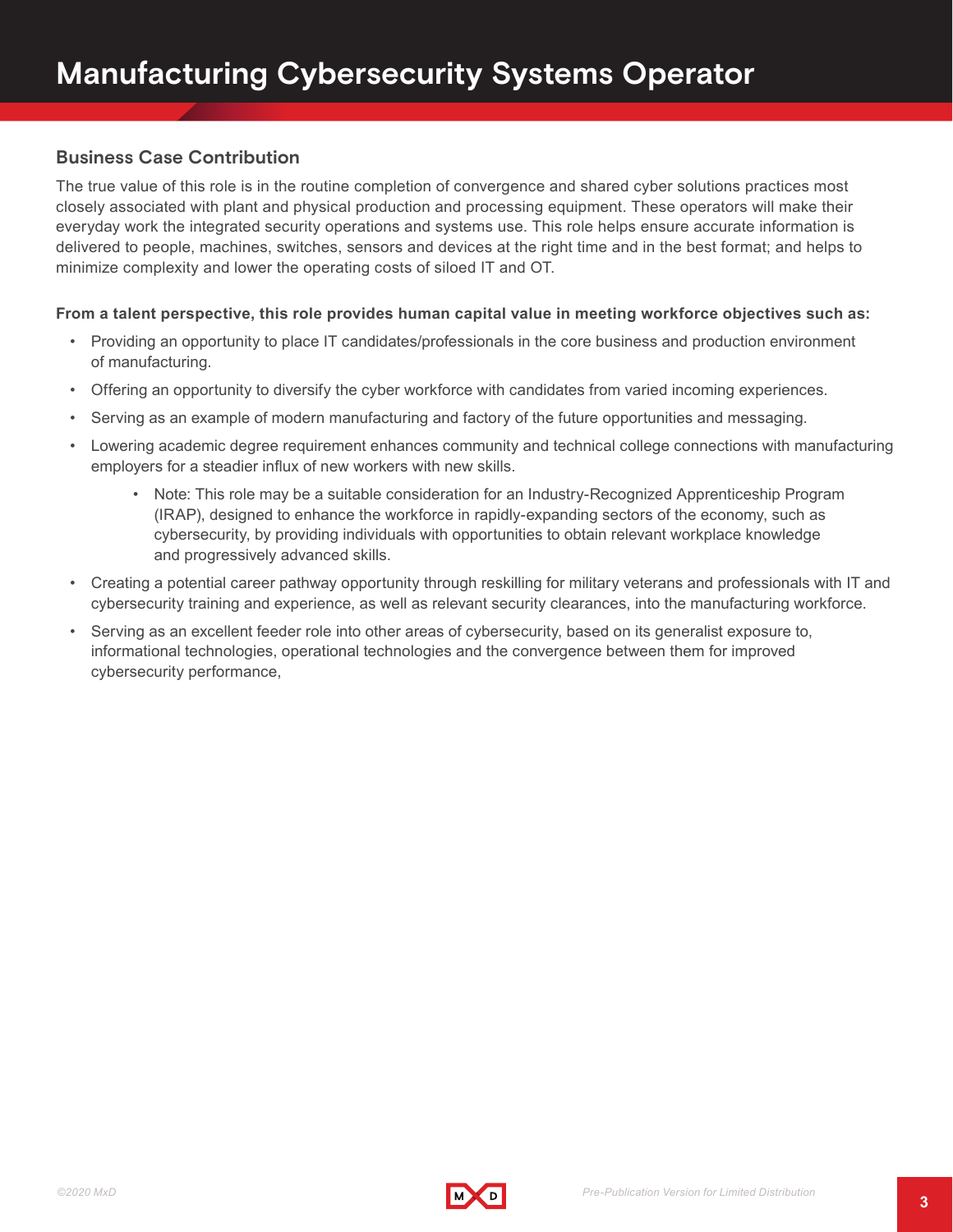## **Business Case Contribution**

The true value of this role is in the routine completion of convergence and shared cyber solutions practices most closely associated with plant and physical production and processing equipment. These operators will make their everyday work the integrated security operations and systems use. This role helps ensure accurate information is delivered to people, machines, switches, sensors and devices at the right time and in the best format; and helps to minimize complexity and lower the operating costs of siloed IT and OT.

#### **From a talent perspective, this role provides human capital value in meeting workforce objectives such as:**

- Providing an opportunity to place IT candidates/professionals in the core business and production environment of manufacturing.
- Offering an opportunity to diversify the cyber workforce with candidates from varied incoming experiences.
- Serving as an example of modern manufacturing and factory of the future opportunities and messaging.
- Lowering academic degree requirement enhances community and technical college connections with manufacturing employers for a steadier influx of new workers with new skills.
	- Note: This role may be a suitable consideration for an Industry-Recognized Apprenticeship Program (IRAP), designed to enhance the workforce in rapidly-expanding sectors of the economy, such as cybersecurity, by providing individuals with opportunities to obtain relevant workplace knowledge and progressively advanced skills.
- Creating a potential career pathway opportunity through reskilling for military veterans and professionals with IT and cybersecurity training and experience, as well as relevant security clearances, into the manufacturing workforce.
- Serving as an excellent feeder role into other areas of cybersecurity, based on its generalist exposure to, informational technologies, operational technologies and the convergence between them for improved cybersecurity performance,

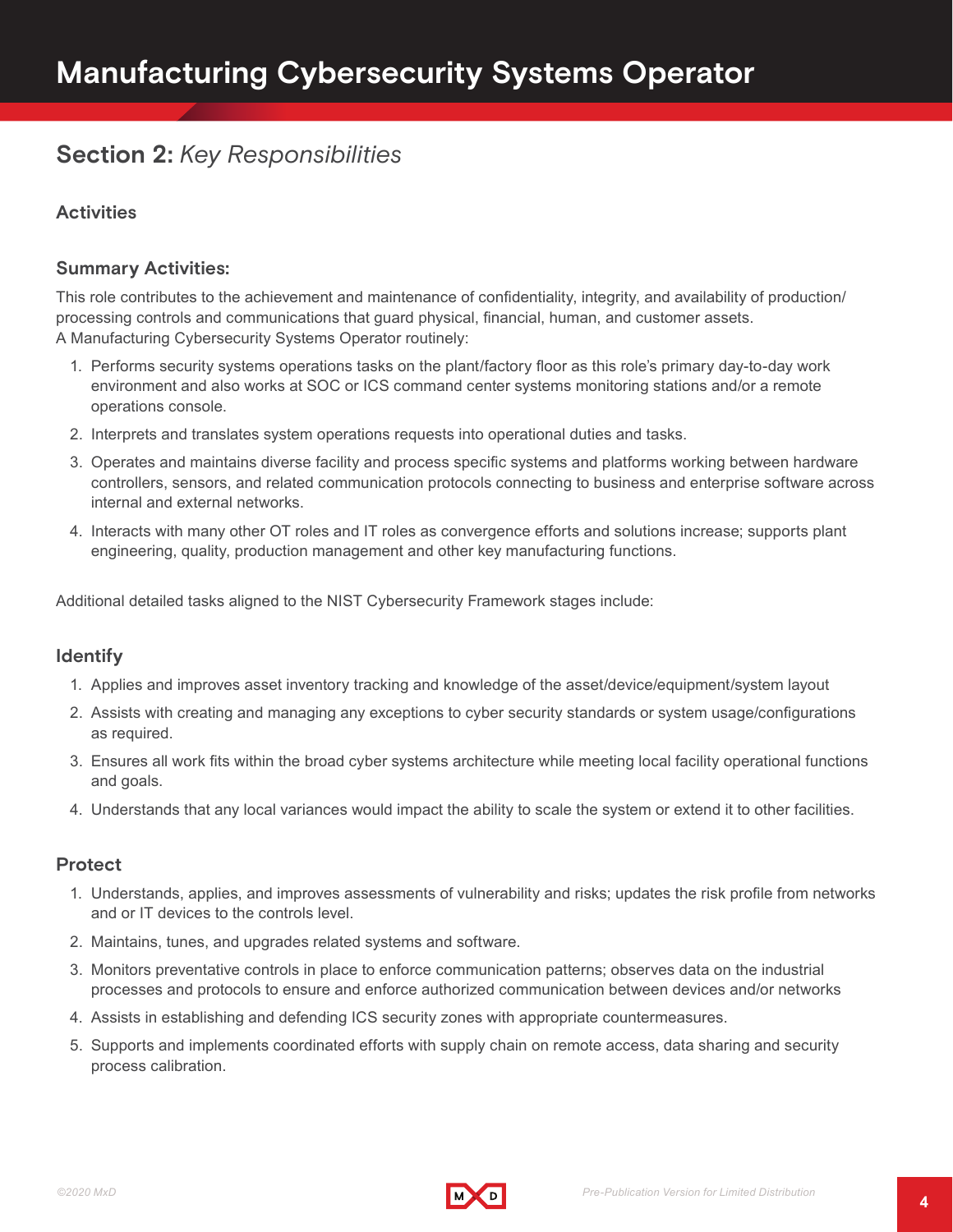# **Section 2:** *Key Responsibilities*

## **Activities**

### **Summary Activities:**

This role contributes to the achievement and maintenance of confidentiality, integrity, and availability of production/ processing controls and communications that guard physical, financial, human, and customer assets. A Manufacturing Cybersecurity Systems Operator routinely:

- 1. Performs security systems operations tasks on the plant/factory floor as this role's primary day-to-day work environment and also works at SOC or ICS command center systems monitoring stations and/or a remote operations console.
- 2. Interprets and translates system operations requests into operational duties and tasks.
- 3. Operates and maintains diverse facility and process specific systems and platforms working between hardware controllers, sensors, and related communication protocols connecting to business and enterprise software across internal and external networks.
- 4. Interacts with many other OT roles and IT roles as convergence efforts and solutions increase; supports plant engineering, quality, production management and other key manufacturing functions.

Additional detailed tasks aligned to the NIST Cybersecurity Framework stages include:

#### **Identify**

- 1. Applies and improves asset inventory tracking and knowledge of the asset/device/equipment/system layout
- 2. Assists with creating and managing any exceptions to cyber security standards or system usage/configurations as required.
- 3. Ensures all work fits within the broad cyber systems architecture while meeting local facility operational functions and goals.
- 4. Understands that any local variances would impact the ability to scale the system or extend it to other facilities.

#### **Protect**

- 1. Understands, applies, and improves assessments of vulnerability and risks; updates the risk profile from networks and or IT devices to the controls level.
- 2. Maintains, tunes, and upgrades related systems and software.
- 3. Monitors preventative controls in place to enforce communication patterns; observes data on the industrial processes and protocols to ensure and enforce authorized communication between devices and/or networks
- 4. Assists in establishing and defending ICS security zones with appropriate countermeasures.
- 5. Supports and implements coordinated efforts with supply chain on remote access, data sharing and security process calibration.

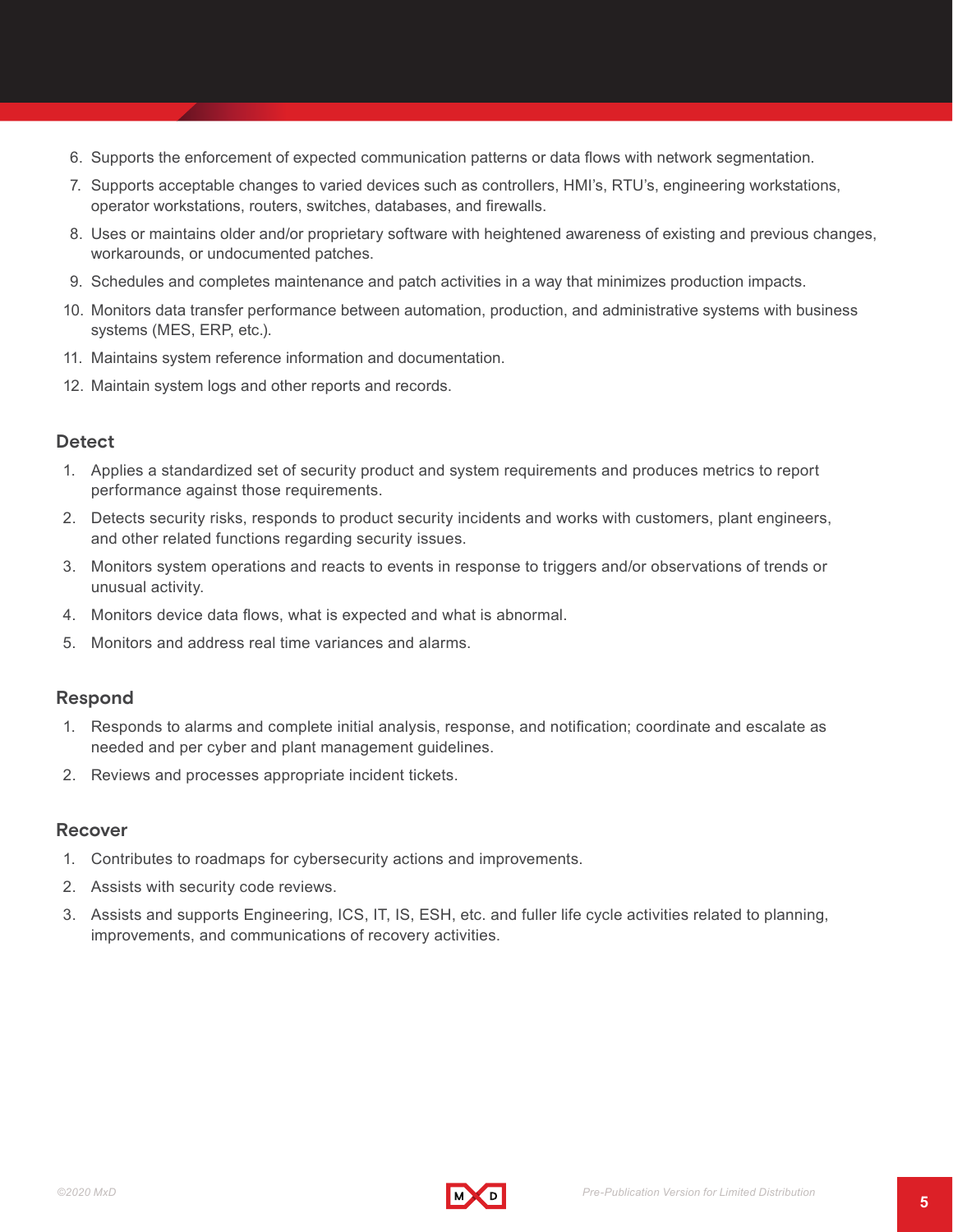- 6. Supports the enforcement of expected communication patterns or data flows with network segmentation.
- 7. Supports acceptable changes to varied devices such as controllers, HMI's, RTU's, engineering workstations, operator workstations, routers, switches, databases, and firewalls.
- 8. Uses or maintains older and/or proprietary software with heightened awareness of existing and previous changes, workarounds, or undocumented patches.
- 9. Schedules and completes maintenance and patch activities in a way that minimizes production impacts.
- 10. Monitors data transfer performance between automation, production, and administrative systems with business systems (MES, ERP, etc.).
- 11. Maintains system reference information and documentation.
- 12. Maintain system logs and other reports and records.

#### **Detect**

- 1. Applies a standardized set of security product and system requirements and produces metrics to report performance against those requirements.
- 2. Detects security risks, responds to product security incidents and works with customers, plant engineers, and other related functions regarding security issues.
- 3. Monitors system operations and reacts to events in response to triggers and/or observations of trends or unusual activity.
- 4. Monitors device data flows, what is expected and what is abnormal.
- 5. Monitors and address real time variances and alarms.

#### **Respond**

- 1. Responds to alarms and complete initial analysis, response, and notification; coordinate and escalate as needed and per cyber and plant management guidelines.
- 2. Reviews and processes appropriate incident tickets.

#### **Recover**

- 1. Contributes to roadmaps for cybersecurity actions and improvements.
- 2. Assists with security code reviews.
- 3. Assists and supports Engineering, ICS, IT, IS, ESH, etc. and fuller life cycle activities related to planning, improvements, and communications of recovery activities.

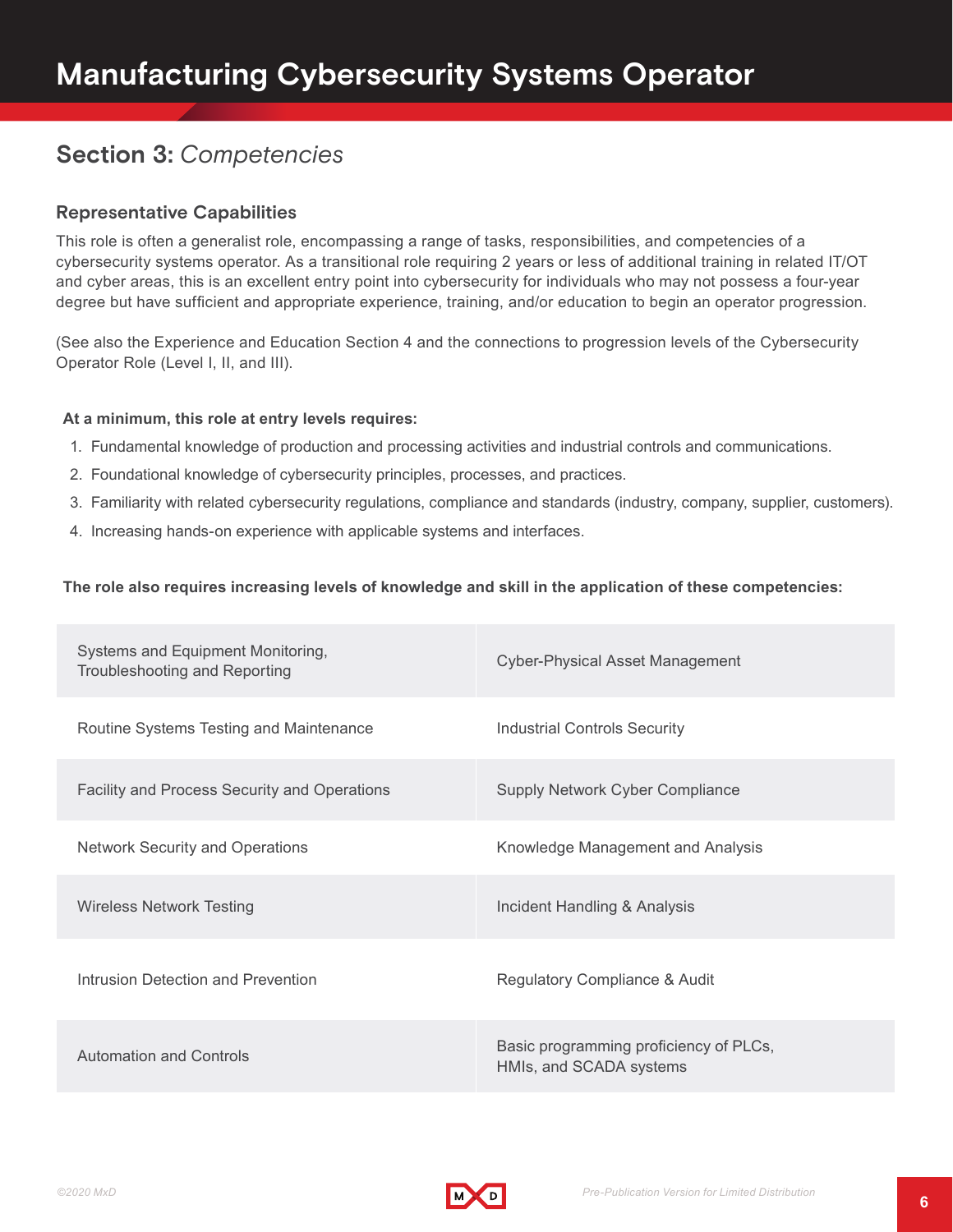# **Section 3:** *Competencies*

### **Representative Capabilities**

This role is often a generalist role, encompassing a range of tasks, responsibilities, and competencies of a cybersecurity systems operator. As a transitional role requiring 2 years or less of additional training in related IT/OT and cyber areas, this is an excellent entry point into cybersecurity for individuals who may not possess a four-year degree but have sufficient and appropriate experience, training, and/or education to begin an operator progression.

(See also the Experience and Education Section 4 and the connections to progression levels of the Cybersecurity Operator Role (Level I, II, and III).

#### **At a minimum, this role at entry levels requires:**

- 1. Fundamental knowledge of production and processing activities and industrial controls and communications.
- 2. Foundational knowledge of cybersecurity principles, processes, and practices.
- 3. Familiarity with related cybersecurity regulations, compliance and standards (industry, company, supplier, customers).
- 4. Increasing hands-on experience with applicable systems and interfaces.

#### **The role also requires increasing levels of knowledge and skill in the application of these competencies:**

| Systems and Equipment Monitoring,<br>Troubleshooting and Reporting | <b>Cyber-Physical Asset Management</b>                            |
|--------------------------------------------------------------------|-------------------------------------------------------------------|
| Routine Systems Testing and Maintenance                            | <b>Industrial Controls Security</b>                               |
| Facility and Process Security and Operations                       | <b>Supply Network Cyber Compliance</b>                            |
| <b>Network Security and Operations</b>                             | Knowledge Management and Analysis                                 |
| <b>Wireless Network Testing</b>                                    | Incident Handling & Analysis                                      |
| Intrusion Detection and Prevention                                 | Regulatory Compliance & Audit                                     |
| <b>Automation and Controls</b>                                     | Basic programming proficiency of PLCs,<br>HMIs, and SCADA systems |

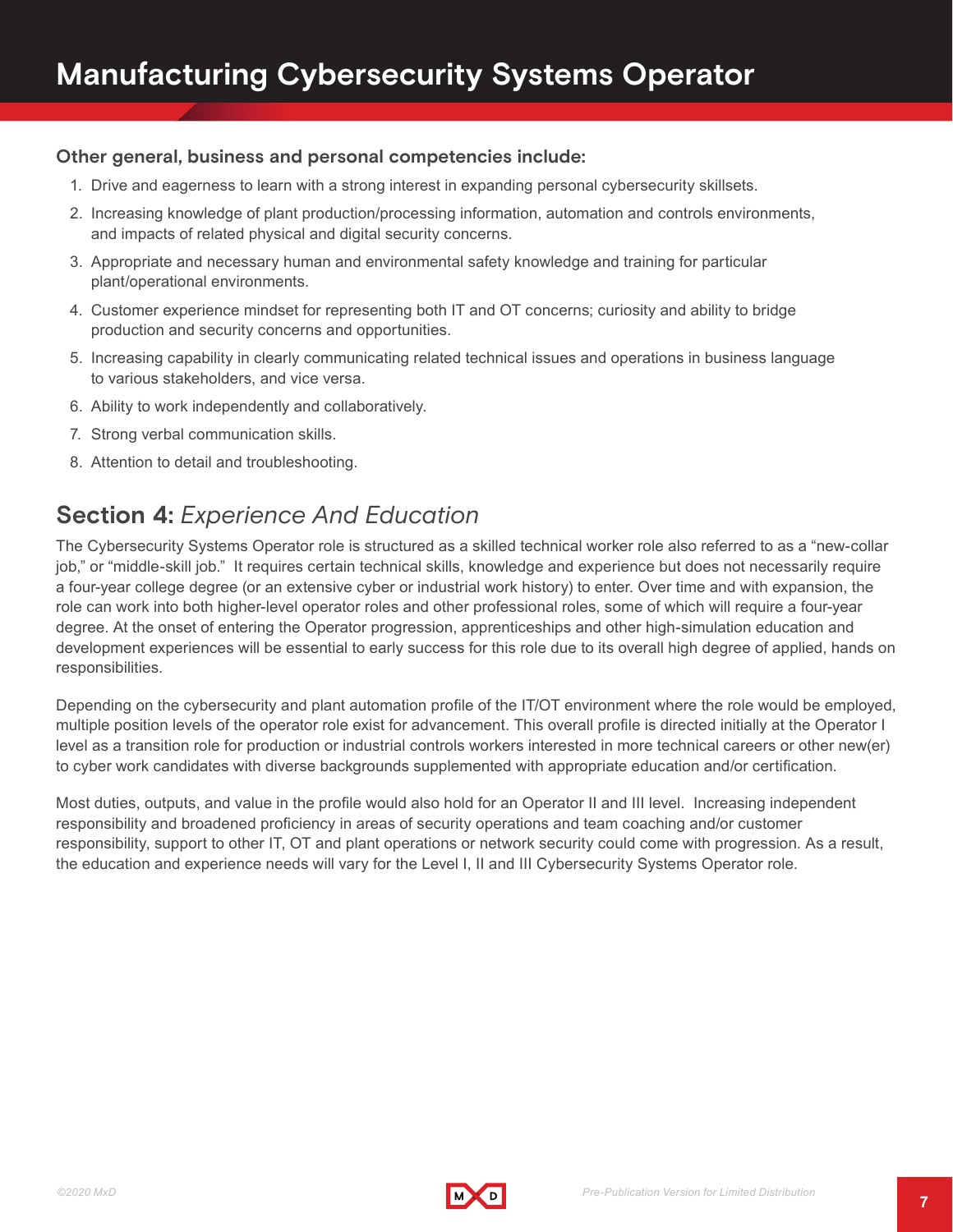### **Other general, business and personal competencies include:**

- 1. Drive and eagerness to learn with a strong interest in expanding personal cybersecurity skillsets.
- 2. Increasing knowledge of plant production/processing information, automation and controls environments, and impacts of related physical and digital security concerns.
- 3. Appropriate and necessary human and environmental safety knowledge and training for particular plant/operational environments.
- 4. Customer experience mindset for representing both IT and OT concerns; curiosity and ability to bridge production and security concerns and opportunities.
- 5. Increasing capability in clearly communicating related technical issues and operations in business language to various stakeholders, and vice versa.
- 6. Ability to work independently and collaboratively.
- 7. Strong verbal communication skills.
- 8. Attention to detail and troubleshooting.

# **Section 4:** *Experience And Education*

The Cybersecurity Systems Operator role is structured as a skilled technical worker role also referred to as a "new-collar job," or "middle-skill job." It requires certain technical skills, knowledge and experience but does not necessarily require a four-year college degree (or an extensive cyber or industrial work history) to enter. Over time and with expansion, the role can work into both higher-level operator roles and other professional roles, some of which will require a four-year degree. At the onset of entering the Operator progression, apprenticeships and other high-simulation education and development experiences will be essential to early success for this role due to its overall high degree of applied, hands on responsibilities.

Depending on the cybersecurity and plant automation profile of the IT/OT environment where the role would be employed, multiple position levels of the operator role exist for advancement. This overall profile is directed initially at the Operator I level as a transition role for production or industrial controls workers interested in more technical careers or other new(er) to cyber work candidates with diverse backgrounds supplemented with appropriate education and/or certification.

Most duties, outputs, and value in the profile would also hold for an Operator II and III level. Increasing independent responsibility and broadened proficiency in areas of security operations and team coaching and/or customer responsibility, support to other IT, OT and plant operations or network security could come with progression. As a result, the education and experience needs will vary for the Level I, II and III Cybersecurity Systems Operator role.

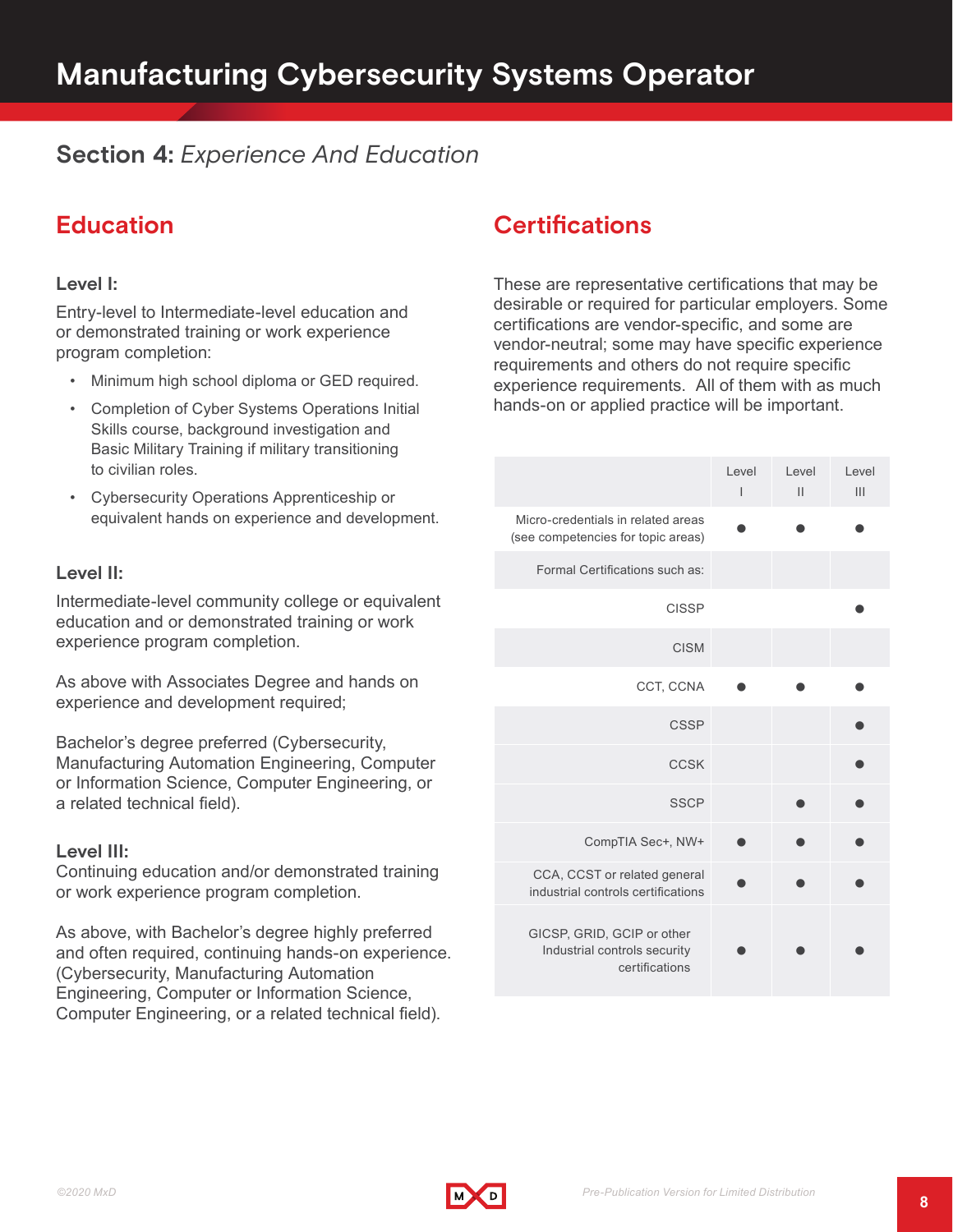# **Section 4:** *Experience And Education*

# **Education**

### **Level I:**

Entry-level to Intermediate-level education and or demonstrated training or work experience program completion:

- Minimum high school diploma or GED required.
- Completion of Cyber Systems Operations Initial Skills course, background investigation and Basic Military Training if military transitioning to civilian roles.
- Cybersecurity Operations Apprenticeship or equivalent hands on experience and development.

#### **Level II:**

Intermediate-level community college or equivalent education and or demonstrated training or work experience program completion.

As above with Associates Degree and hands on experience and development required;

Bachelor's degree preferred (Cybersecurity, Manufacturing Automation Engineering, Computer or Information Science, Computer Engineering, or a related technical field).

#### **Level III:**

Continuing education and/or demonstrated training or work experience program completion.

As above, with Bachelor's degree highly preferred and often required, continuing hands-on experience. (Cybersecurity, Manufacturing Automation Engineering, Computer or Information Science, Computer Engineering, or a related technical field).

# **Certifications**

These are representative certifications that may be desirable or required for particular employers. Some certifications are vendor-specific, and some are vendor-neutral; some may have specific experience requirements and others do not require specific experience requirements. All of them with as much hands-on or applied practice will be important.

|                                                                              | Level<br>I | Level<br>$\mathbf{H}$ | Level<br>III |
|------------------------------------------------------------------------------|------------|-----------------------|--------------|
| Micro-credentials in related areas<br>(see competencies for topic areas)     |            |                       |              |
| Formal Certifications such as:                                               |            |                       |              |
| <b>CISSP</b>                                                                 |            |                       |              |
| <b>CISM</b>                                                                  |            |                       |              |
| CCT, CCNA                                                                    |            |                       |              |
| <b>CSSP</b>                                                                  |            |                       |              |
| <b>CCSK</b>                                                                  |            |                       |              |
| <b>SSCP</b>                                                                  |            |                       |              |
| CompTIA Sec+, NW+                                                            |            |                       |              |
| CCA, CCST or related general<br>industrial controls certifications           |            |                       |              |
| GICSP, GRID, GCIP or other<br>Industrial controls security<br>certifications |            |                       |              |